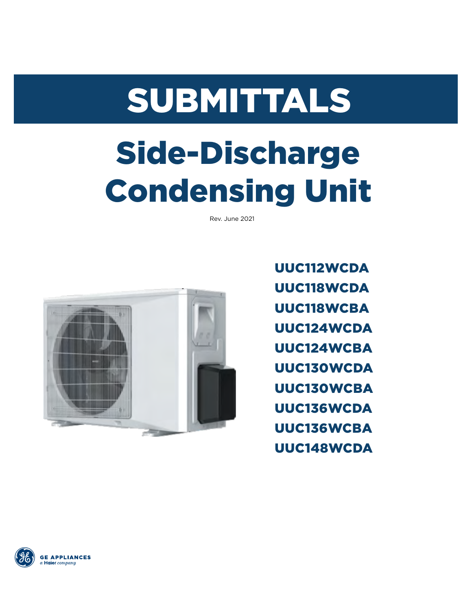# SUBMITTALS

## Side-Discharge Condensing Unit

Rev. June 2021



UUC112WCDA UUC118WCDA UUC118WCBA UUC124WCDA UUC124WCBA UUC130WCDA UUC130WCBA UUC136WCDA UUC136WCBA UUC148WCDA

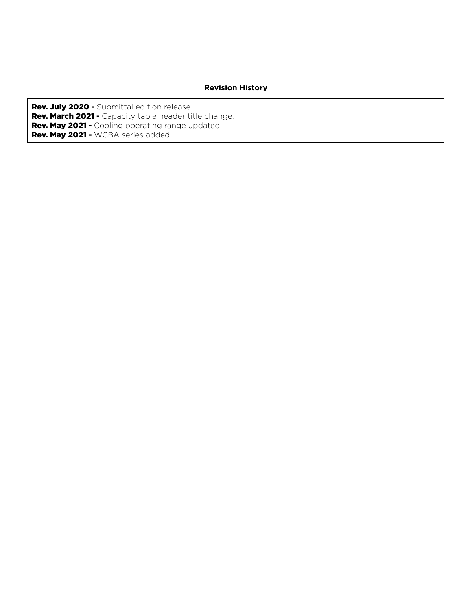#### **Revision History**

Rev. July 2020 - Submittal edition release. Rev. March 2021 - Capacity table header title change. Rev. May 2021 - Cooling operating range updated. Rev. May 2021 - WCBA series added.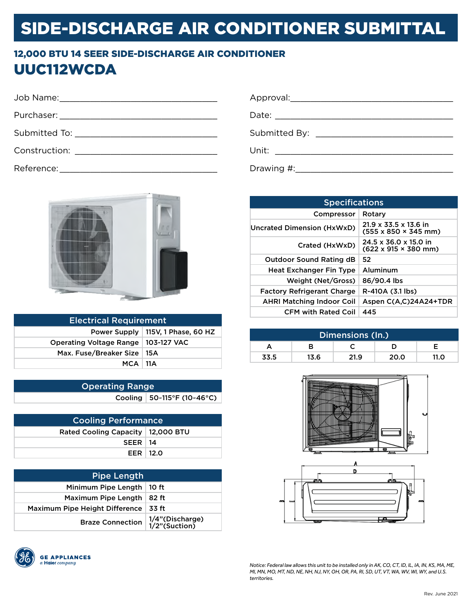#### 12,000 BTU 14 SEER SIDE-DISCHARGE AIR CONDITIONER UUC112WCDA

| Submitted By: ________________________________ |
|------------------------------------------------|
|                                                |
|                                                |



| <b>Electrical Requirement</b>         |  |  |
|---------------------------------------|--|--|
| Power Supply   115V, 1 Phase, 60 HZ   |  |  |
| Operating Voltage Range   103-127 VAC |  |  |
| Max. Fuse/Breaker Size   15A          |  |  |
| $MCA$   11 $A$                        |  |  |

| <b>Operating Range</b> |  |                                   |
|------------------------|--|-----------------------------------|
|                        |  | Cooling   $50 - 115$ °F (10~46°C) |

| <b>Cooling Performance</b>          |            |  |
|-------------------------------------|------------|--|
| Rated Cooling Capacity   12,000 BTU |            |  |
| $SEER$   14                         |            |  |
|                                     | EER $12.0$ |  |

| <b>Pipe Length</b>                                      |       |  |
|---------------------------------------------------------|-------|--|
| Minimum Pipe Length                                     | 10 ft |  |
| Maximum Pipe Length                                     | 82 ft |  |
| Maximum Pipe Height Difference                          | 33 ft |  |
| Braze Connection $1/4$ "(Discharge)<br>$1/2$ "(Suction) |       |  |



| <b>Specifications</b>             |                                                                               |  |
|-----------------------------------|-------------------------------------------------------------------------------|--|
| Compressor                        | Rotary                                                                        |  |
| Uncrated Dimension (HxWxD)        | $21.9 \times 33.5 \times 13.6$ in<br>$(555 \times 850 \times 345 \text{ mm})$ |  |
| Crated (HxWxD)                    | 24.5 x 36.0 x 15.0 in<br>$(622 \times 915 \times 380 \text{ mm})$             |  |
| <b>Outdoor Sound Rating dB</b>    | 52                                                                            |  |
| <b>Heat Exchanger Fin Type</b>    | Aluminum                                                                      |  |
| Weight (Net/Gross)                | 86/90.4 lbs                                                                   |  |
| <b>Factory Refrigerant Charge</b> | R-410A (3.1 lbs)                                                              |  |
| <b>AHRI Matching Indoor Coil</b>  | Aspen C(A.C)24A24+TDR                                                         |  |
| <b>CFM with Rated Coil</b>        | 445                                                                           |  |

| Dimensions (In.) |      |      |      |      |
|------------------|------|------|------|------|
|                  |      |      |      |      |
| 33.5             | 13.6 | 21.9 | 20.0 | 11.0 |





*Notice: Federal law allows this unit to be installed only in AK, CO, CT, ID, IL, IA, IN, KS, MA, ME, Ml, MN, MO, MT, ND, NE, NH, NJ, NY, OH, OR, PA, RI, SD, UT, VT, WA, WV, WI, WY, and U.S. territories.*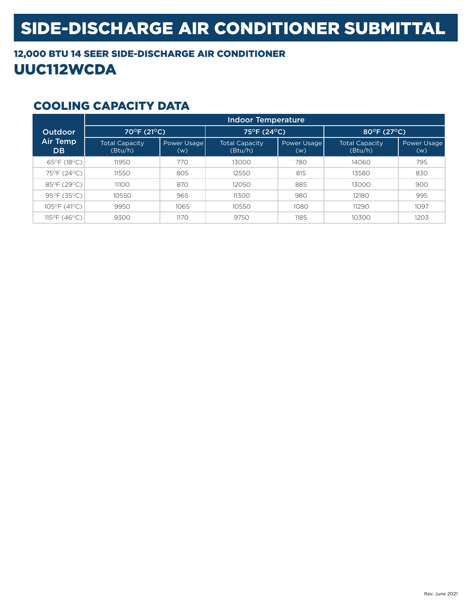#### 12,000 BTU 14 SEER SIDE-DISCHARGE AIR CONDITIONER UUC112WCDA

|                              | <b>Indoor Temperature</b>        |                    |                                  |                    |                                  |                    |
|------------------------------|----------------------------------|--------------------|----------------------------------|--------------------|----------------------------------|--------------------|
| <b>Outdoor</b>               | 70°F (21°C),                     |                    | 75°F (24°C)                      |                    | 80°F (27°C)                      |                    |
| <b>Air Temp</b><br><b>DB</b> | <b>Total Capacity</b><br>(Btu/h) | Power Usage<br>(w) | <b>Total Capacity</b><br>(Btu/h) | Power Usage<br>(w) | <b>Total Capacity</b><br>(Btu/h) | Power Usage<br>(w) |
| 65°F (18°C)                  | 11950                            | 770                | 13000                            | 780                | 14060                            | 795                |
| 75°F (24°C)                  | 11550                            | 805                | 12550                            | 815                | 13580                            | 830                |
| 85°F (29°C)                  | 11100                            | 870                | 12050                            | 885                | 13000                            | 900                |
| 95°F (35°C)                  | 10550                            | 965                | 11300                            | 980                | 12180                            | 995                |
| 105°F (41°C)                 | 9950                             | 1065               | 10550                            | 1080               | 11290                            | 1097               |
| 115°F (46°C)                 | 9300                             | 1170               | 9750                             | 1185               | 10300                            | 1203               |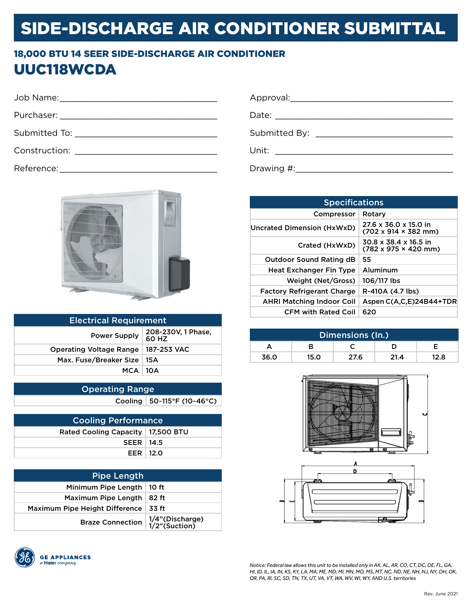#### 18,000 BTU 14 SEER SIDE-DISCHARGE AIR CONDITIONER UUC118WCDA

|                                                  | Submitted By: ________________________________ |
|--------------------------------------------------|------------------------------------------------|
| Construction: __________________________________ |                                                |
|                                                  |                                                |



| <b>Electrical Requirement</b>  |                             |  |
|--------------------------------|-----------------------------|--|
| <b>Power Supply</b>            | 208-230V, 1 Phase,<br>60 HZ |  |
| <b>Operating Voltage Range</b> | 187-253 VAC                 |  |
| Max. Fuse/Breaker Size         | 15 A                        |  |
| $MCA$   10A                    |                             |  |
|                                |                             |  |

| <b>Operating Range</b> |                                   |  |
|------------------------|-----------------------------------|--|
|                        | Cooling   $50 - 115$ °F (10~46°C) |  |

| <b>Cooling Performance</b>          |  |  |
|-------------------------------------|--|--|
| Rated Cooling Capacity   17,500 BTU |  |  |
| <b>SEER   14.5</b>                  |  |  |
| EER $12.0$                          |  |  |

| <b>Pipe Length</b>             |                                    |  |  |  |
|--------------------------------|------------------------------------|--|--|--|
| Minimum Pipe Length            | 10 ft                              |  |  |  |
| Maximum Pipe Length            | 82 ft                              |  |  |  |
| Maximum Pipe Height Difference | 33 ft                              |  |  |  |
| <b>Braze Connection</b>        | 1/4"(Discharge)<br>  1/2"(Suction) |  |  |  |



| <b>Specifications</b>             |                                                                   |  |  |  |  |
|-----------------------------------|-------------------------------------------------------------------|--|--|--|--|
| Compressor                        | Rotary                                                            |  |  |  |  |
| Uncrated Dimension (HxWxD)        | 27.6 x 36.0 x 15.0 in<br>$(702 \times 914 \times 382 \text{ mm})$ |  |  |  |  |
| Crated (HxWxD)                    | 30.8 x 38.4 x 16.5 in<br>$(782 \times 975 \times 420 \text{ mm})$ |  |  |  |  |
| <b>Outdoor Sound Rating dB</b>    | 55                                                                |  |  |  |  |
| <b>Heat Exchanger Fin Type</b>    | Aluminum                                                          |  |  |  |  |
| Weight (Net/Gross)                | 106/117 lbs                                                       |  |  |  |  |
| <b>Factory Refrigerant Charge</b> | R-410A (4.7 lbs)                                                  |  |  |  |  |
| <b>AHRI Matching Indoor Coil</b>  | Aspen C(A,C,E)24B44+TDR                                           |  |  |  |  |
| <b>CFM with Rated Coil</b>        | 620                                                               |  |  |  |  |

| Dimensions (In.) |      |      |      |      |
|------------------|------|------|------|------|
|                  |      |      |      |      |
| 36.0             | 15.0 | 27.6 | 21.4 | 12.8 |



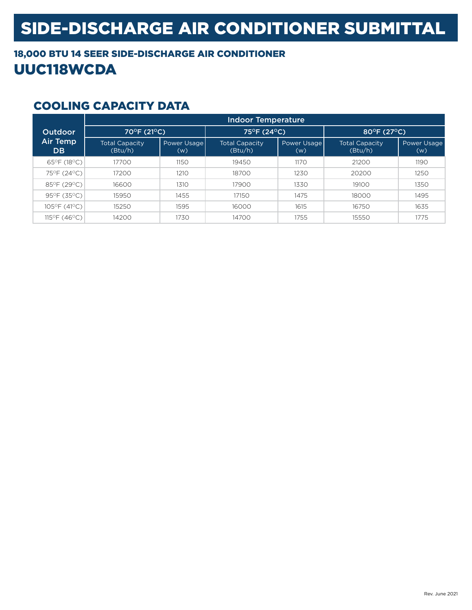#### 18,000 BTU 14 SEER SIDE-DISCHARGE AIR CONDITIONER UUC118WCDA

|                              | <b>Indoor Temperature</b>        |                    |                                  |                    |                                  |                    |
|------------------------------|----------------------------------|--------------------|----------------------------------|--------------------|----------------------------------|--------------------|
| <b>Outdoor</b>               | 70°F (21°C),                     |                    | 75°F (24°C)                      |                    | 80°F (27°C)                      |                    |
| <b>Air Temp</b><br><b>DB</b> | <b>Total Capacity</b><br>(Btu/h) | Power Usage<br>(w) | <b>Total Capacity</b><br>(Btu/h) | Power Usage<br>(w) | <b>Total Capacity</b><br>(Btu/h) | Power Usage<br>(w) |
| 65°F (18°C)                  | 17700                            | 1150               | 19450                            | 1170               | 21200                            | 1190               |
| 75°F (24°C)                  | 17200                            | 1210               | 18700                            | 1230               | 20200                            | 1250               |
| 85°F (29°C)                  | 16600                            | 1310               | 17900                            | 1330               | 19100                            | 1350               |
| 95°F (35°C)                  | 15950                            | 1455               | 17150                            | 1475               | 18000                            | 1495               |
| 105°F (41°C)                 | 15250                            | 1595               | 16000                            | 1615               | 16750                            | 1635               |
| 115°F (46°C)                 | 14200                            | 1730               | 14700                            | 1755               | 15550                            | 1775               |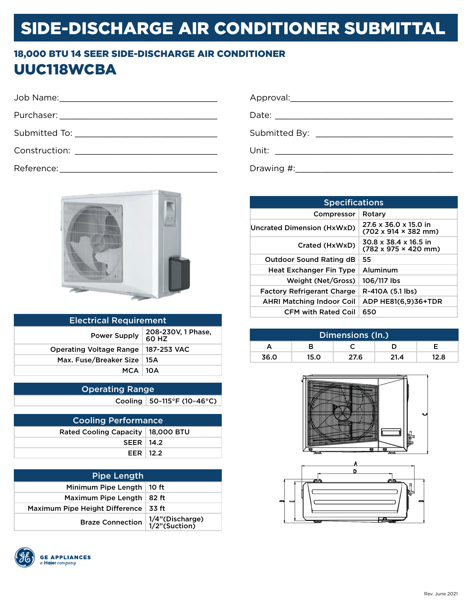#### 18,000 BTU 14 SEER SIDE-DISCHARGE AIR CONDITIONER UUC118WCBA

| Submitted To: New York Submitted To:       |  |
|--------------------------------------------|--|
| Construction: <u>with the construction</u> |  |
|                                            |  |



| <b>Electrical Requirement</b>  |                             |  |  |  |
|--------------------------------|-----------------------------|--|--|--|
| <b>Power Supply</b>            | 208-230V, 1 Phase,<br>60 HZ |  |  |  |
| <b>Operating Voltage Range</b> | 187-253 VAC                 |  |  |  |
| Max. Fuse/Breaker Size         | 15 A                        |  |  |  |
| $MCA$   10A                    |                             |  |  |  |
|                                |                             |  |  |  |

| <b>Operating Range</b> |                              |
|------------------------|------------------------------|
|                        | Cooling   50~115°F (10~46°C) |

| <b>Cooling Performance</b>          |  |  |  |  |
|-------------------------------------|--|--|--|--|
| Rated Cooling Capacity   18,000 BTU |  |  |  |  |
| $SEER$   14.2                       |  |  |  |  |
| EER $12.2$                          |  |  |  |  |

| <b>Pipe Length</b>             |                                    |
|--------------------------------|------------------------------------|
| Minimum Pipe Length            | 10 ft                              |
| Maximum Pipe Length            | 82 ft                              |
| Maximum Pipe Height Difference | 33 ft                              |
| <b>Braze Connection</b>        | 1/4"(Discharge)<br>  1/2"(Suction) |



| <b>Specifications</b>             |                                                                   |  |  |  |
|-----------------------------------|-------------------------------------------------------------------|--|--|--|
| Compressor                        | Rotary                                                            |  |  |  |
| Uncrated Dimension (HxWxD)        | 27.6 x 36.0 x 15.0 in<br>$(702 \times 914 \times 382 \text{ mm})$ |  |  |  |
| Crated (HxWxD)                    | 30.8 x 38.4 x 16.5 in<br>$(782 \times 975 \times 420 \text{ mm})$ |  |  |  |
| <b>Outdoor Sound Rating dB</b>    | 55                                                                |  |  |  |
| <b>Heat Exchanger Fin Type</b>    | Aluminum                                                          |  |  |  |
| Weight (Net/Gross)                | 106/117 lbs                                                       |  |  |  |
| <b>Factory Refrigerant Charge</b> | R-410A (5.1 lbs)                                                  |  |  |  |
| <b>AHRI Matching Indoor Coil</b>  | ADP HE81(6.9)36+TDR                                               |  |  |  |
| <b>CFM with Rated Coil</b>        | 650                                                               |  |  |  |

| Dimensions (In.) |      |      |      |      |  |
|------------------|------|------|------|------|--|
|                  | R    |      |      |      |  |
| 36.0             | 15.0 | 27.6 | 21.4 | 12.8 |  |



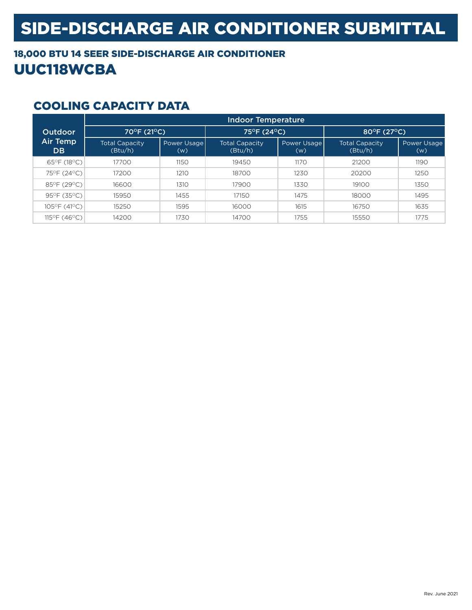#### 18,000 BTU 14 SEER SIDE-DISCHARGE AIR CONDITIONER UUC118WCBA

|                              | <b>Indoor Temperature</b>        |                    |                                  |                    |                                  |                    |
|------------------------------|----------------------------------|--------------------|----------------------------------|--------------------|----------------------------------|--------------------|
| <b>Outdoor</b>               | 70°F (21°C),                     |                    | 75°F (24°C)                      |                    | 80°F (27°C)                      |                    |
| <b>Air Temp</b><br><b>DB</b> | <b>Total Capacity</b><br>(Btu/h) | Power Usage<br>(w) | <b>Total Capacity</b><br>(Btu/h) | Power Usage<br>(w) | <b>Total Capacity</b><br>(Btu/h) | Power Usage<br>(w) |
| 65°F (18°C)                  | 17700                            | 1150               | 19450                            | 1170               | 21200                            | 1190               |
| 75°F (24°C)                  | 17200                            | 1210               | 18700                            | 1230               | 20200                            | 1250               |
| 85°F (29°C)                  | 16600                            | 1310               | 17900                            | 1330               | 19100                            | 1350               |
| 95°F (35°C)                  | 15950                            | 1455               | 17150                            | 1475               | 18000                            | 1495               |
| 105°F (41°C)                 | 15250                            | 1595               | 16000                            | 1615               | 16750                            | 1635               |
| 115°F (46°C)                 | 14200                            | 1730               | 14700                            | 1755               | 15550                            | 1775               |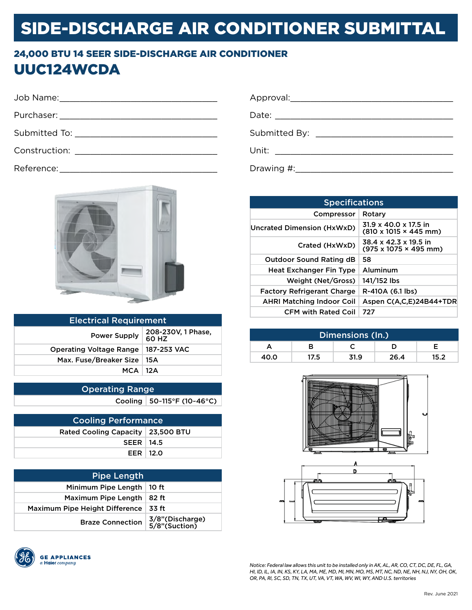#### 24,000 BTU 14 SEER SIDE-DISCHARGE AIR CONDITIONER UUC124WCDA

Reference:



| <b>Electrical Requirement</b>  |                             |  |
|--------------------------------|-----------------------------|--|
| <b>Power Supply</b>            | 208-230V, 1 Phase,<br>60 HZ |  |
| <b>Operating Voltage Range</b> | 187-253 VAC                 |  |
| Max. Fuse/Breaker Size   15A   |                             |  |
| $MCA$ 12A                      |                             |  |
|                                |                             |  |

| <b>Operating Range</b> |                                   |  |
|------------------------|-----------------------------------|--|
|                        | Cooling   $50 - 115$ °F (10~46°C) |  |

| <b>Cooling Performance</b>          |  |  |
|-------------------------------------|--|--|
| Rated Cooling Capacity   23,500 BTU |  |  |
| $SEER$   14.5                       |  |  |
| EER $12.0$                          |  |  |

| <b>Pipe Length</b>             |                                    |
|--------------------------------|------------------------------------|
| Minimum Pipe Length            | 10 ft                              |
| Maximum Pipe Length            | 82 ft                              |
| Maximum Pipe Height Difference | 33 ft                              |
| <b>Braze Connection</b>        | 3/8"(Discharge)<br>  5/8"(Suction) |



| Unit: _________________________ |  |
|---------------------------------|--|
| Drawing #:                      |  |

**Specifications** Compressor | Rotary Uncrated Dimension (HxWxD)  $\begin{array}{|l} 31.9 \times 40.0 \times 17.5 \text{ in} \\ \hline \end{array}$ (810 x 1015 × 445 mm) Crated (HxWxD)  $38.4 \times 42.3 \times 19.5$  in  $(975 \times 1075 \times 495 \text{ mm})$ Outdoor Sound Rating dB | 58 Heat Exchanger Fin Type | Aluminum Weight (Net/Gross) 141/152 lbs Factory Refrigerant Charge | R-410A (6.1 lbs) AHRI Matching Indoor Coil Aspen C(A,C,E)24B44+TDR CFM with Rated Coil 727

| Dimensions (In.) |      |      |      |      |
|------------------|------|------|------|------|
|                  |      |      |      |      |
| 40.0             | 17.5 | 31.9 | 26.4 | 15.2 |



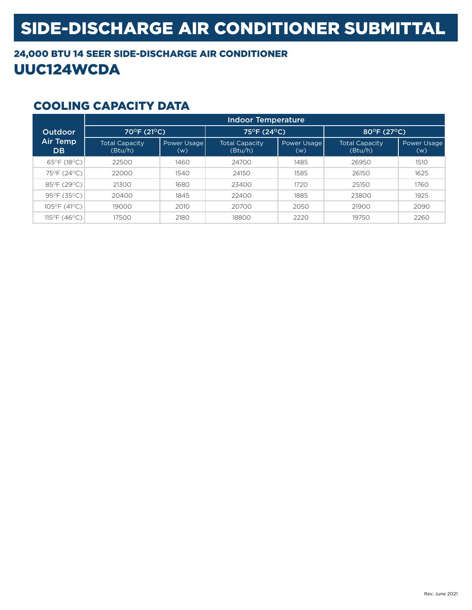### 24,000 BTU 14 SEER SIDE-DISCHARGE AIR CONDITIONER UUC124WCDA

|                              | Indoor Temperature               |                    |                                  |                    |                                  |                    |
|------------------------------|----------------------------------|--------------------|----------------------------------|--------------------|----------------------------------|--------------------|
| <b>Outdoor</b>               | 70°F (21°C),                     |                    | 75°F (24°C)                      |                    | 80°F (27°C)                      |                    |
| <b>Air Temp</b><br><b>DB</b> | <b>Total Capacity</b><br>(Btu/h) | Power Usage<br>(w) | <b>Total Capacity</b><br>(Btu/h) | Power Usage<br>(w) | <b>Total Capacity</b><br>(Btu/h) | Power Usage<br>(w) |
| 65°F (18°C)                  | 22500                            | 1460               | 24700                            | 1485               | 26950                            | 1510               |
| 75°F (24°C)                  | 22000                            | 1540               | 24150                            | 1585               | 26150                            | 1625               |
| 85°F (29°C)                  | 21300                            | 1680               | 23400                            | 1720               | 25150                            | 1760               |
| 95°F (35°C)                  | 20400                            | 1845               | 22400                            | 1885               | 23800                            | 1925               |
| 105°F (41°C)                 | 19000                            | 2010               | 20700                            | 2050               | 21900                            | 2090               |
| 115°F (46°C)                 | 17500                            | 2180               | 18800                            | 2220               | 19750                            | 2260               |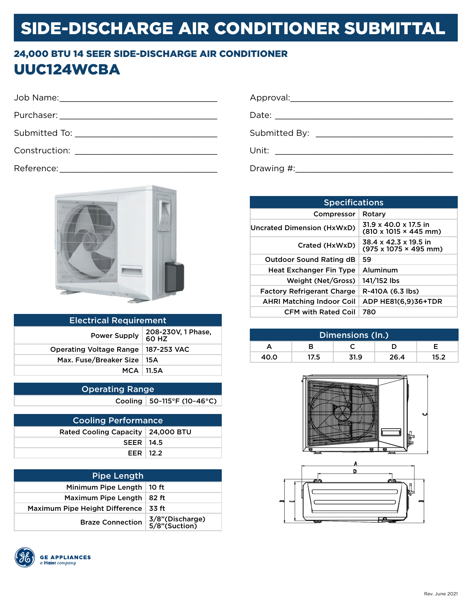#### 24,000 BTU 14 SEER SIDE-DISCHARGE AIR CONDITIONER UUC124WCBA

| Appr  |
|-------|
| Date: |
| Subn  |
| Unit: |
|       |

Reference: \_\_\_\_\_\_\_\_\_\_\_\_\_\_\_\_\_\_\_\_\_\_\_\_\_\_\_\_\_\_\_



| <b>Electrical Requirement</b>  |                             |  |
|--------------------------------|-----------------------------|--|
| <b>Power Supply</b>            | 208-230V, 1 Phase,<br>60 HZ |  |
| <b>Operating Voltage Range</b> | ∣187-253 VAC                |  |
| Max. Fuse/Breaker Size         | ∣ 15A                       |  |
|                                | $MCA$   11.5A               |  |
|                                |                             |  |

| Operating Range |                              |  |
|-----------------|------------------------------|--|
|                 | Cooling   50~115°F (10~46°C) |  |

| <b>Cooling Performance</b>          |  |  |
|-------------------------------------|--|--|
| Rated Cooling Capacity   24,000 BTU |  |  |
| $SEER$   14.5                       |  |  |
| EER $12.2$                          |  |  |

| <b>Pipe Length</b>             |                                  |  |
|--------------------------------|----------------------------------|--|
| Minimum Pipe Length            | 10 ft                            |  |
| Maximum Pipe Length            | 82 ft                            |  |
| Maximum Pipe Height Difference | .33 ft                           |  |
| <b>Braze Connection</b>        | 3/8"(Discharge)<br>5/8"(Suction) |  |



| Approval:  |                                                                                                                                                                                                                                      |
|------------|--------------------------------------------------------------------------------------------------------------------------------------------------------------------------------------------------------------------------------------|
|            |                                                                                                                                                                                                                                      |
|            | Submitted By: _______________________                                                                                                                                                                                                |
| Unit:      | <u> 1989 - Andrea Albert III, martin albert i statistik format i statistik format i statistik format i statistik format i statistik format i statistik format i statistik format i statistik format i statistik format i statist</u> |
| Drawing #: |                                                                                                                                                                                                                                      |

| <b>Specifications</b>             |                                                                    |  |  |
|-----------------------------------|--------------------------------------------------------------------|--|--|
| Compressor                        | Rotary                                                             |  |  |
| Uncrated Dimension (HxWxD)        | $31.9 \times 40.0 \times 17.5$ in<br>(810 x 1015 × 445 mm)         |  |  |
| Crated (HxWxD)                    | 38.4 x 42.3 x 19.5 in<br>$(975 \times 1075 \times 495 \text{ mm})$ |  |  |
| <b>Outdoor Sound Rating dB</b>    | 59                                                                 |  |  |
| <b>Heat Exchanger Fin Type</b>    | Aluminum                                                           |  |  |
| Weight (Net/Gross)                | 141/152 lbs                                                        |  |  |
| <b>Factory Refrigerant Charge</b> | R-410A (6.3 lbs)                                                   |  |  |
| <b>AHRI Matching Indoor Coil</b>  | ADP HE81(6,9)36+TDR                                                |  |  |
| <b>CFM with Rated Coil</b>        | 780                                                                |  |  |

| Dimensions (In.) |      |      |      |      |
|------------------|------|------|------|------|
|                  | R    |      |      |      |
| 40.0             | 17.5 | 31.9 | 26.4 | 15.2 |



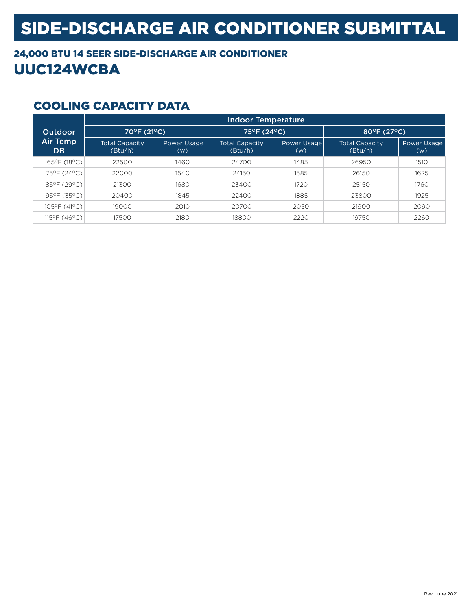#### 24,000 BTU 14 SEER SIDE-DISCHARGE AIR CONDITIONER UUC124WCBA

|                              | Indoor Temperature               |                    |                                  |                    |                                  |                    |
|------------------------------|----------------------------------|--------------------|----------------------------------|--------------------|----------------------------------|--------------------|
| <b>Outdoor</b>               | 70°F (21°C),                     |                    | 75°F (24°C)                      |                    | 80°F (27°C)                      |                    |
| <b>Air Temp</b><br><b>DB</b> | <b>Total Capacity</b><br>(Btu/h) | Power Usage<br>(w) | <b>Total Capacity</b><br>(Btu/h) | Power Usage<br>(w) | <b>Total Capacity</b><br>(Btu/h) | Power Usage<br>(w) |
| 65°F (18°C)                  | 22500                            | 1460               | 24700                            | 1485               | 26950                            | 1510               |
| 75°F (24°C)                  | 22000                            | 1540               | 24150                            | 1585               | 26150                            | 1625               |
| 85°F (29°C)                  | 21300                            | 1680               | 23400                            | 1720               | 25150                            | 1760               |
| 95°F (35°C)                  | 20400                            | 1845               | 22400                            | 1885               | 23800                            | 1925               |
| 105°F (41°C)                 | 19000                            | 2010               | 20700                            | 2050               | 21900                            | 2090               |
| 115°F (46°C)                 | 17500                            | 2180               | 18800                            | 2220               | 19750                            | 2260               |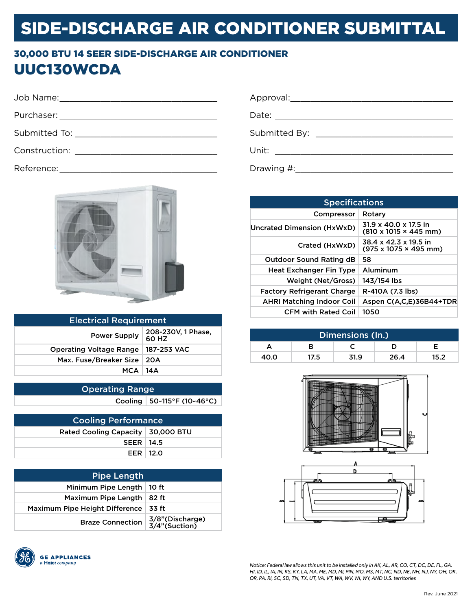#### 30,000 BTU 14 SEER SIDE-DISCHARGE AIR CONDITIONER UUC130WCDA

| Αr |
|----|
| Da |
| Su |
| Ur |
|    |

Reference:



| <b>Electrical Requirement</b>                      |  |  |
|----------------------------------------------------|--|--|
| 208-230V, 1 Phase,<br><b>Power Supply</b><br>60 HZ |  |  |
| Operating Voltage Range   187-253 VAC              |  |  |
| Max. Fuse/Breaker Size   20A                       |  |  |
| <b>MCA 14A</b>                                     |  |  |
|                                                    |  |  |

| <b>Operating Range</b> |                              |  |
|------------------------|------------------------------|--|
|                        | Cooling   50~115°F (10~46°C) |  |

| <b>Cooling Performance</b>          |  |  |
|-------------------------------------|--|--|
| Rated Cooling Capacity   30,000 BTU |  |  |
| $SEER$   14.5                       |  |  |
| EER $12.0$                          |  |  |

| <b>Pipe Length</b>             |                                  |  |
|--------------------------------|----------------------------------|--|
| Minimum Pipe Length            | 10 ft                            |  |
| Maximum Pipe Length            | 82 ft                            |  |
| Maximum Pipe Height Difference | 33 ft                            |  |
| <b>Braze Connection</b>        | 3/8"(Discharge)<br>3/4"(Suction) |  |



| Unit:      | <u> 1980 - Andrea Andrew Maria (h. 1980).</u> |
|------------|-----------------------------------------------|
| Drawing #: |                                               |

| <b>Specifications</b>             |                                                                                |  |
|-----------------------------------|--------------------------------------------------------------------------------|--|
| Compressor                        | Rotary                                                                         |  |
| Uncrated Dimension (HxWxD)        | $31.9 \times 40.0 \times 17.5$ in<br>$(810 \times 1015 \times 445 \text{ mm})$ |  |
| Crated (HxWxD)                    | 38.4 x 42.3 x 19.5 in<br>$(975 \times 1075 \times 495$ mm)                     |  |
| <b>Outdoor Sound Rating dB</b>    | 58                                                                             |  |
| <b>Heat Exchanger Fin Type</b>    | Aluminum                                                                       |  |
| Weight (Net/Gross)                | 143/154 lbs                                                                    |  |
| <b>Factory Refrigerant Charge</b> | R-410A (7.3 lbs)                                                               |  |
| <b>AHRI Matching Indoor Coil</b>  | Aspen C(A,C,E)36B44+TDR                                                        |  |
| <b>CFM with Rated Coil</b>        | 1050                                                                           |  |

| Dimensions (In.) |      |      |      |      |  |
|------------------|------|------|------|------|--|
|                  | R    |      |      |      |  |
| 40.0             | 17.5 | 31.9 | 26.4 | 15.2 |  |



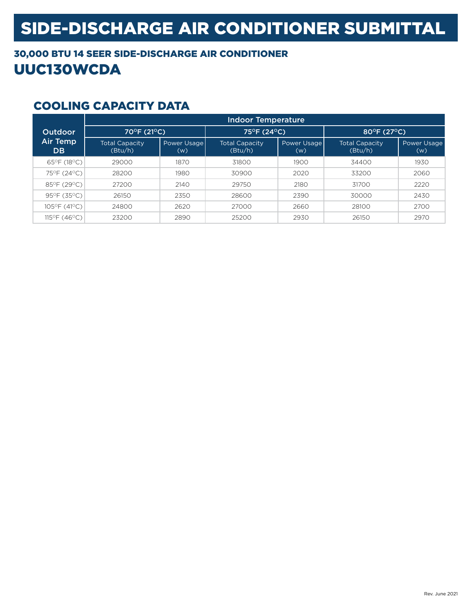### 30,000 BTU 14 SEER SIDE-DISCHARGE AIR CONDITIONER UUC130WCDA

|                       | <b>Indoor Temperature</b>        |                    |                                  |                    |                                  |                    |
|-----------------------|----------------------------------|--------------------|----------------------------------|--------------------|----------------------------------|--------------------|
| <b>Outdoor</b>        | 70°F (21°C)                      |                    | 75°F (24°C)                      |                    | 80°F (27°C).                     |                    |
| Air Temp<br><b>DB</b> | <b>Total Capacity</b><br>(Btu/h) | Power Usage<br>(w) | <b>Total Capacity</b><br>(Btu/h) | Power Usage<br>(w) | <b>Total Capacity</b><br>(Btu/h) | Power Usage<br>(w) |
| 65°F (18°C)           | 29000                            | 1870               | 31800                            | 1900               | 34400                            | 1930               |
| 75°F (24°C)           | 28200                            | 1980               | 30900                            | 2020               | 33200                            | 2060               |
| 85°F (29°C)           | 27200                            | 2140               | 29750                            | 2180               | 31700                            | 2220               |
| 95°F (35°C)           | 26150                            | 2350               | 28600                            | 2390               | 30000                            | 2430               |
| 105°F (41°C)          | 24800                            | 2620               | 27000                            | 2660               | 28100                            | 2700               |
| 115°F (46°C)          | 23200                            | 2890               | 25200                            | 2930               | 26150                            | 2970               |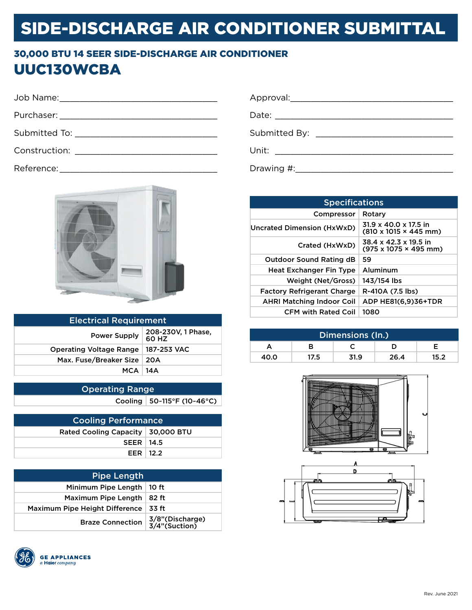#### 30,000 BTU 14 SEER SIDE-DISCHARGE AIR CONDITIONER UUC130WCBA

| Appr  |
|-------|
| Date: |
| Subn  |
| Unit: |
|       |

Reference: \_\_\_\_\_\_\_\_\_\_\_\_\_\_\_\_\_\_\_\_\_\_\_\_\_\_\_\_\_\_\_



| <b>Electrical Requirement</b>         |                             |  |  |  |
|---------------------------------------|-----------------------------|--|--|--|
| <b>Power Supply</b>                   | 208-230V, 1 Phase,<br>60 HZ |  |  |  |
| Operating Voltage Range   187-253 VAC |                             |  |  |  |
| Max. Fuse/Breaker Size   20A          |                             |  |  |  |
| <b>MCA 14A</b>                        |                             |  |  |  |
|                                       |                             |  |  |  |

| <b>Operating Range</b> |                              |  |  |  |
|------------------------|------------------------------|--|--|--|
|                        | Cooling   50~115°F (10~46°C) |  |  |  |

| <b>Cooling Performance</b>          |  |  |  |  |
|-------------------------------------|--|--|--|--|
| Rated Cooling Capacity   30,000 BTU |  |  |  |  |
| <b>SEER   14.5</b>                  |  |  |  |  |
| EER $12.2$                          |  |  |  |  |

| <b>Pipe Length</b>             |                                    |  |  |  |
|--------------------------------|------------------------------------|--|--|--|
| Minimum Pipe Length            | 10 ft                              |  |  |  |
| Maximum Pipe Length            | 82 ft                              |  |  |  |
| Maximum Pipe Height Difference | 33 ft                              |  |  |  |
| <b>Braze Connection</b>        | 3/8" (Discharge)<br>3/4" (Suction) |  |  |  |



| Approval:  |                                                                                                                                                                                                                                      |
|------------|--------------------------------------------------------------------------------------------------------------------------------------------------------------------------------------------------------------------------------------|
|            |                                                                                                                                                                                                                                      |
|            | Submitted By: _______________________                                                                                                                                                                                                |
| Unit:      | <u> 1989 - Andrea Albert III, martin albert i statistik format i statistik format i statistik format i statistik format i statistik format i statistik format i statistik format i statistik format i statistik format i statist</u> |
| Drawing #: |                                                                                                                                                                                                                                      |

| <b>Specifications</b>             |                                                                    |  |  |  |  |
|-----------------------------------|--------------------------------------------------------------------|--|--|--|--|
| Compressor                        | Rotary                                                             |  |  |  |  |
| Uncrated Dimension (HxWxD)        | 31.9 x 40.0 x 17.5 in<br>$(810 \times 1015 \times 445 \text{ mm})$ |  |  |  |  |
| Crated (HxWxD)                    | 38.4 x 42.3 x 19.5 in<br>$(975 \times 1075 \times 495$ mm)         |  |  |  |  |
| <b>Outdoor Sound Rating dB</b>    | 59                                                                 |  |  |  |  |
| <b>Heat Exchanger Fin Type</b>    | Aluminum                                                           |  |  |  |  |
| Weight (Net/Gross)                | 143/154 lbs                                                        |  |  |  |  |
| <b>Factory Refrigerant Charge</b> | R-410A (7.5 lbs)                                                   |  |  |  |  |
| <b>AHRI Matching Indoor Coil</b>  | ADP HE81(6,9)36+TDR                                                |  |  |  |  |
| <b>CFM with Rated Coil</b>        | 1080                                                               |  |  |  |  |

| Dimensions (In.) |      |      |      |      |  |
|------------------|------|------|------|------|--|
|                  | R    |      |      |      |  |
| 40.0             | 17.5 | 31.9 | 26.4 | 15.2 |  |



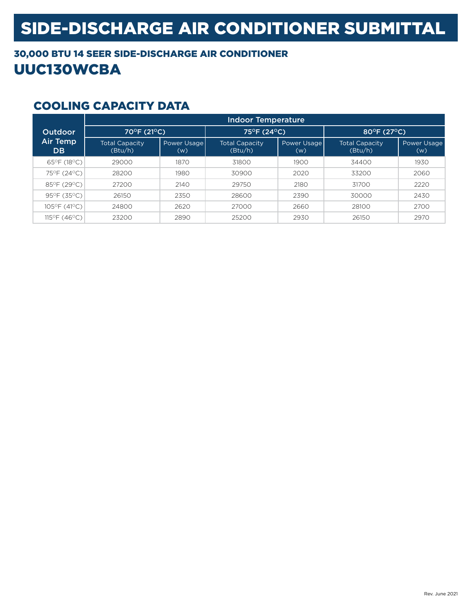### 30,000 BTU 14 SEER SIDE-DISCHARGE AIR CONDITIONER UUC130WCBA

|                       | <b>Indoor Temperature</b>        |                    |                                  |                    |                                  |                    |
|-----------------------|----------------------------------|--------------------|----------------------------------|--------------------|----------------------------------|--------------------|
| <b>Outdoor</b>        | 70°F (21°C)                      |                    | 75°F (24°C)                      |                    | 80°F (27°C).                     |                    |
| Air Temp<br><b>DB</b> | <b>Total Capacity</b><br>(Btu/h) | Power Usage<br>(w) | <b>Total Capacity</b><br>(Btu/h) | Power Usage<br>(w) | <b>Total Capacity</b><br>(Btu/h) | Power Usage<br>(w) |
| 65°F (18°C)           | 29000                            | 1870               | 31800                            | 1900               | 34400                            | 1930               |
| 75°F (24°C)           | 28200                            | 1980               | 30900                            | 2020               | 33200                            | 2060               |
| 85°F (29°C)           | 27200                            | 2140               | 29750                            | 2180               | 31700                            | 2220               |
| 95°F (35°C)           | 26150                            | 2350               | 28600                            | 2390               | 30000                            | 2430               |
| 105°F (41°C)          | 24800                            | 2620               | 27000                            | 2660               | 28100                            | 2700               |
| 115°F (46°C)          | 23200                            | 2890               | 25200                            | 2930               | 26150                            | 2970               |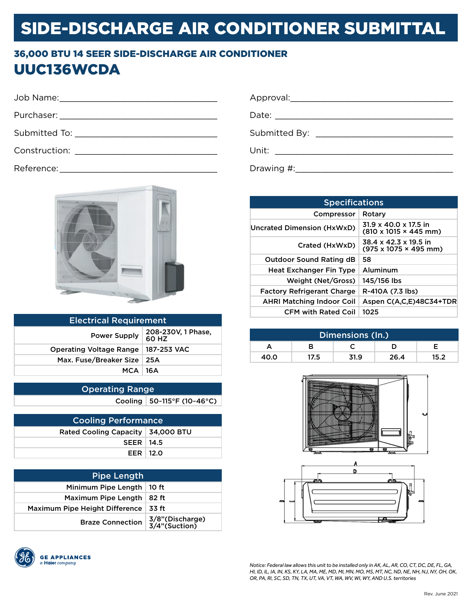### 36,000 BTU 14 SEER SIDE-DISCHARGE AIR CONDITIONER UUC136WCDA

|                                                | Approv                         |
|------------------------------------------------|--------------------------------|
|                                                | Date: $\overline{\phantom{a}}$ |
| Submitted To: ________________________________ | Submit                         |
|                                                | Unit:                          |
|                                                |                                |

Reference:



| <b>Electrical Requirement</b>         |                             |  |
|---------------------------------------|-----------------------------|--|
| <b>Power Supply</b>                   | 208-230V, 1 Phase,<br>60 HZ |  |
| Operating Voltage Range   187-253 VAC |                             |  |
| Max. Fuse/Breaker Size   25A          |                             |  |
| <b>MCA 16A</b>                        |                             |  |
|                                       |                             |  |

| <b>Operating Range</b> |                                 |
|------------------------|---------------------------------|
|                        | Cooling   $50-115$ °F (10~46°C) |

| <b>Cooling Performance</b>          |  |  |
|-------------------------------------|--|--|
| Rated Cooling Capacity   34,000 BTU |  |  |
| $SEER$   14.5                       |  |  |
| EER $12.0$                          |  |  |

| <b>Pipe Length</b>             |                                  |
|--------------------------------|----------------------------------|
| Minimum Pipe Length            | 10 ft                            |
| Maximum Pipe Length            | 82 ft                            |
| Maximum Pipe Height Difference | 33 ft                            |
| <b>Braze Connection</b>        | 3/8"(Discharge)<br>3/4"(Suction) |



|               | Approval: Approval:                                          |
|---------------|--------------------------------------------------------------|
|               |                                                              |
| Submitted By: | <u> 1980 - Jan James, maritan bizko hamarkada (h. 1980).</u> |
| Unit:         | <u> 1980 - Andrea Andrew Maria (h. 1980).</u>                |
| Drawing #:    |                                                              |

| <b>Specifications</b>             |                                                                                |  |
|-----------------------------------|--------------------------------------------------------------------------------|--|
| Compressor                        | Rotary                                                                         |  |
| Uncrated Dimension (HxWxD)        | $31.9 \times 40.0 \times 17.5$ in<br>$(810 \times 1015 \times 445 \text{ mm})$ |  |
| Crated (HxWxD)                    | 38.4 x 42.3 x 19.5 in<br>$(975 \times 1075 \times 495 \text{ mm})$             |  |
| <b>Outdoor Sound Rating dB</b>    | 58                                                                             |  |
| <b>Heat Exchanger Fin Type</b>    | Aluminum                                                                       |  |
| Weight (Net/Gross)                | 145/156 lbs                                                                    |  |
| <b>Factory Refrigerant Charge</b> | R-410A (7.3 lbs)                                                               |  |
| <b>AHRI Matching Indoor Coil</b>  | Aspen C(A,C,E)48C34+TDR                                                        |  |
| <b>CFM with Rated Coil</b>        | 1025                                                                           |  |

| Dimensions (In.) |      |      |      |      |
|------------------|------|------|------|------|
|                  |      |      |      |      |
| 40.0             | 17.5 | 31.9 | 26.4 | 15.2 |



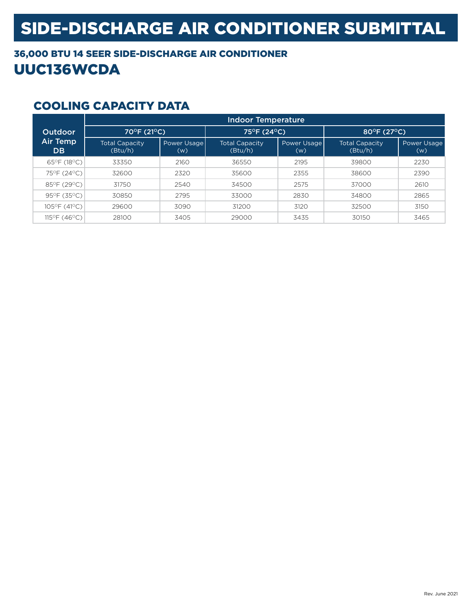### 36,000 BTU 14 SEER SIDE-DISCHARGE AIR CONDITIONER UUC136WCDA

|                              | <b>Indoor Temperature</b>        |                    |                                  |                    |                                  |                    |
|------------------------------|----------------------------------|--------------------|----------------------------------|--------------------|----------------------------------|--------------------|
| <b>Outdoor</b>               | 70°F (21°C),                     |                    | 75°F (24°C)                      |                    | 80°F (27°C)                      |                    |
| <b>Air Temp</b><br><b>DB</b> | <b>Total Capacity</b><br>(Btu/h) | Power Usage<br>(w) | <b>Total Capacity</b><br>(Btu/h) | Power Usage<br>(w) | <b>Total Capacity</b><br>(Btu/h) | Power Usage<br>(w) |
| 65°F (18°C)                  | 33350                            | 2160               | 36550                            | 2195               | 39800                            | 2230               |
| 75°F (24°C)                  | 32600                            | 2320               | 35600                            | 2355               | 38600                            | 2390               |
| 85°F (29°C)                  | 31750                            | 2540               | 34500                            | 2575               | 37000                            | 2610               |
| 95°F (35°C)                  | 30850                            | 2795               | 33000                            | 2830               | 34800                            | 2865               |
| 105°F (41°C)                 | 29600                            | 3090               | 31200                            | 3120               | 32500                            | 3150               |
| 115°F (46°C)                 | 28100                            | 3405               | 29000                            | 3435               | 30150                            | 3465               |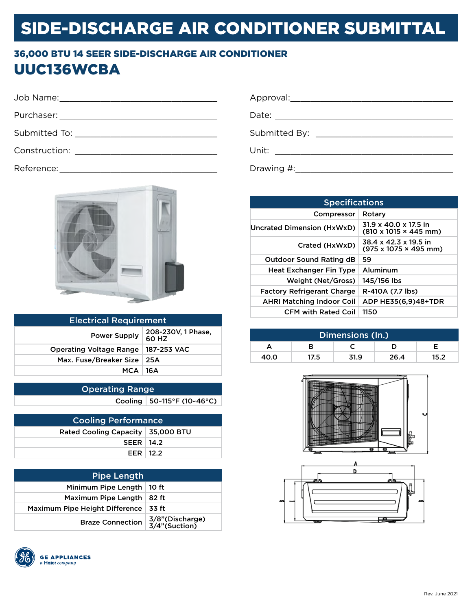#### 36,000 BTU 14 SEER SIDE-DISCHARGE AIR CONDITIONER UUC136WCBA

|                                   | Аp |
|-----------------------------------|----|
|                                   | Da |
|                                   | Su |
| <b>Construction: Example 2018</b> | Un |





| <b>Electrical Requirement</b>  |                             |  |
|--------------------------------|-----------------------------|--|
| <b>Power Supply</b>            | 208-230V, 1 Phase,<br>60 HZ |  |
| <b>Operating Voltage Range</b> | 187-253 VAC                 |  |
| Max. Fuse/Breaker Size         | ∣25A                        |  |
| $MCA$   16A                    |                             |  |
|                                |                             |  |

| <b>Operating Range</b> |                            |
|------------------------|----------------------------|
|                        | Cooling 50~115°F (10~46°C) |

| <b>Cooling Performance</b>          |  |  |
|-------------------------------------|--|--|
| Rated Cooling Capacity   35,000 BTU |  |  |
| SEER   14.2                         |  |  |
| EER $12.2$                          |  |  |

| <b>Pipe Length</b>             |                                  |  |  |
|--------------------------------|----------------------------------|--|--|
| Minimum Pipe Length            | 10 ft                            |  |  |
| Maximum Pipe Length            | 82 ft                            |  |  |
| Maximum Pipe Height Difference | 33 ft                            |  |  |
| <b>Braze Connection</b>        | 3/8"(Discharge)<br>3/4"(Suction) |  |  |



|       | Submitted By: _________________________ |
|-------|-----------------------------------------|
| Unit: |                                         |
|       |                                         |

| <b>Specifications</b>             |                                                                    |  |  |
|-----------------------------------|--------------------------------------------------------------------|--|--|
| Compressor                        | Rotary                                                             |  |  |
| Uncrated Dimension (HxWxD)        | $31.9 \times 40.0 \times 17.5$ in<br>(810 x 1015 × 445 mm)         |  |  |
| Crated (HxWxD)                    | 38.4 x 42.3 x 19.5 in<br>$(975 \times 1075 \times 495 \text{ mm})$ |  |  |
| <b>Outdoor Sound Rating dB</b>    | 59                                                                 |  |  |
| <b>Heat Exchanger Fin Type</b>    | Aluminum                                                           |  |  |
| Weight (Net/Gross)                | 145/156 lbs                                                        |  |  |
| <b>Factory Refrigerant Charge</b> | R-410A (7.7 lbs)                                                   |  |  |
| <b>AHRI Matching Indoor Coil</b>  | ADP HE35(6,9)48+TDR                                                |  |  |
| <b>CFM with Rated Coil</b>        | 1150                                                               |  |  |

| Dimensions (In.) |      |      |      |      |
|------------------|------|------|------|------|
|                  |      |      |      |      |
| 40.0             | 17.5 | 31.9 | 26.4 | 15.2 |



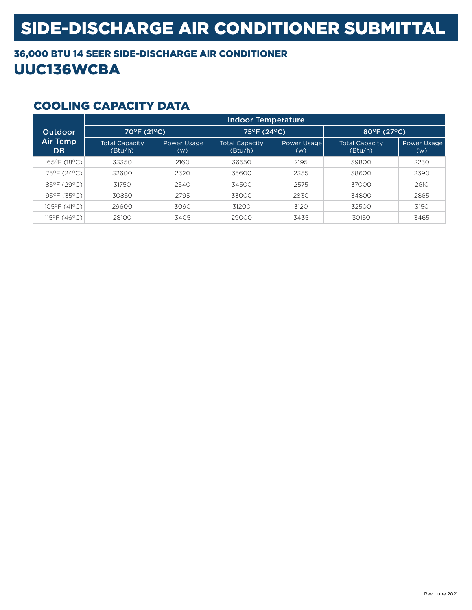#### 36,000 BTU 14 SEER SIDE-DISCHARGE AIR CONDITIONER UUC136WCBA

|                              | Indoor Temperature               |                    |                                  |                    |                                  |                    |
|------------------------------|----------------------------------|--------------------|----------------------------------|--------------------|----------------------------------|--------------------|
| <b>Outdoor</b>               | 70°F (21°C),                     |                    | 75°F (24°C)                      |                    | 80°F (27°C)                      |                    |
| <b>Air Temp</b><br><b>DB</b> | <b>Total Capacity</b><br>(Btu/h) | Power Usage<br>(w) | <b>Total Capacity</b><br>(Btu/h) | Power Usage<br>(w) | <b>Total Capacity</b><br>(Btu/h) | Power Usage<br>(w) |
| 65°F (18°C)                  | 33350                            | 2160               | 36550                            | 2195               | 39800                            | 2230               |
| 75°F (24°C)                  | 32600                            | 2320               | 35600                            | 2355               | 38600                            | 2390               |
| 85°F (29°C)                  | 31750                            | 2540               | 34500                            | 2575               | 37000                            | 2610               |
| 95°F (35°C)                  | 30850                            | 2795               | 33000                            | 2830               | 34800                            | 2865               |
| 105°F (41°C)                 | 29600                            | 3090               | 31200                            | 3120               | 32500                            | 3150               |
| 115°F (46°C)                 | 28100                            | 3405               | 29000                            | 3435               | 30150                            | 3465               |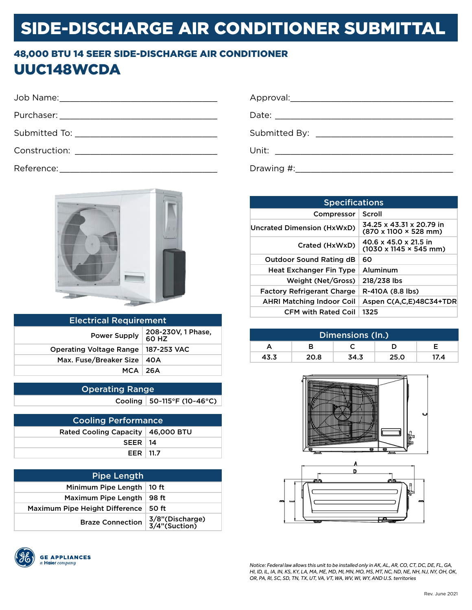#### 48,000 BTU 14 SEER SIDE-DISCHARGE AIR CONDITIONER UUC148WCDA

| Submitted To: __________________________________                                                                                                                                                                               |  |
|--------------------------------------------------------------------------------------------------------------------------------------------------------------------------------------------------------------------------------|--|
| Construction: New York Production (New York Production Construction (New York Production Construction Construction Construction Construction (New York Production Construction Construction Construction Construction Construc |  |
|                                                                                                                                                                                                                                |  |



| <b>Electrical Requirement</b>  |                             |  |  |
|--------------------------------|-----------------------------|--|--|
| <b>Power Supply</b>            | 208-230V, 1 Phase,<br>60 HZ |  |  |
| <b>Operating Voltage Range</b> | 187-253 VAC                 |  |  |
| Max. Fuse/Breaker Size         | 40A                         |  |  |
| $MCA$   26 $A$                 |                             |  |  |
|                                |                             |  |  |

| <b>Operating Range</b> |                                   |  |  |
|------------------------|-----------------------------------|--|--|
|                        | Cooling   $50 - 115$ °F (10~46°C) |  |  |

| <b>Cooling Performance</b>          |  |  |  |
|-------------------------------------|--|--|--|
| Rated Cooling Capacity   46,000 BTU |  |  |  |
| $SEER$   14                         |  |  |  |
| EER   11.7                          |  |  |  |

| <b>Pipe Length</b>             |                                  |  |  |
|--------------------------------|----------------------------------|--|--|
| Minimum Pipe Length            | 10 ft                            |  |  |
| Maximum Pipe Length            | 98 ft                            |  |  |
| Maximum Pipe Height Difference | 50 ft                            |  |  |
| <b>Braze Connection</b>        | 3/8"(Discharge)<br>3/4"(Suction) |  |  |



| <b>Specifications</b>             |                                                                     |  |  |
|-----------------------------------|---------------------------------------------------------------------|--|--|
| Compressor                        | Scroll                                                              |  |  |
| Uncrated Dimension (HxWxD)        | 34.25 x 43.31 x 20.79 in<br>(870 x 1100 × 528 mm)                   |  |  |
| Crated (HxWxD)                    | 40.6 x 45.0 x 21.5 in<br>$(1030 \times 1145 \times 545 \text{ mm})$ |  |  |
| <b>Outdoor Sound Rating dB</b>    | 60                                                                  |  |  |
| <b>Heat Exchanger Fin Type</b>    | Aluminum                                                            |  |  |
| Weight (Net/Gross)                | 218/238 lbs                                                         |  |  |
| <b>Factory Refrigerant Charge</b> | R-410A (8.8 lbs)                                                    |  |  |
| <b>AHRI Matching Indoor Coil</b>  | Aspen C(A.C.E)48C34+TDR                                             |  |  |
| <b>CFM with Rated Coil</b>        | 1325                                                                |  |  |

| Dimensions (In.) |      |      |      |      |
|------------------|------|------|------|------|
|                  |      |      |      |      |
| 43.3             | 20.8 | 34.3 | 25.0 | 17.4 |